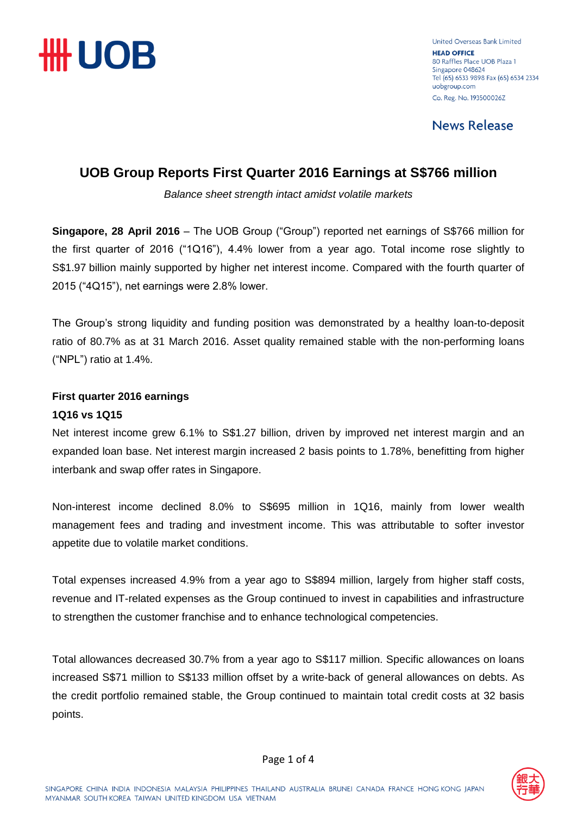

United Overseas Bank Limited **HEAD OFFICE** 80 Raffles Place LIOB Plaza 1 Singapore 048624 Tel (65) 6533 9898 Fax (65) 6534 2334 uobgroup.com Co. Reg. No. 193500026Z

**News Release** 

### **UOB Group Reports First Quarter 2016 Earnings at S\$766 million**

*Balance sheet strength intact amidst volatile markets*

**Singapore, 28 April 2016** – The UOB Group ("Group") reported net earnings of S\$766 million for the first quarter of 2016 ("1Q16"), 4.4% lower from a year ago. Total income rose slightly to S\$1.97 billion mainly supported by higher net interest income. Compared with the fourth quarter of 2015 ("4Q15"), net earnings were 2.8% lower.

The Group's strong liquidity and funding position was demonstrated by a healthy loan-to-deposit ratio of 80.7% as at 31 March 2016. Asset quality remained stable with the non-performing loans ("NPL") ratio at 1.4%.

### **First quarter 2016 earnings**

#### **1Q16 vs 1Q15**

Net interest income grew 6.1% to S\$1.27 billion, driven by improved net interest margin and an expanded loan base. Net interest margin increased 2 basis points to 1.78%, benefitting from higher interbank and swap offer rates in Singapore.

Non-interest income declined 8.0% to S\$695 million in 1Q16, mainly from lower wealth management fees and trading and investment income. This was attributable to softer investor appetite due to volatile market conditions.

Total expenses increased 4.9% from a year ago to S\$894 million, largely from higher staff costs, revenue and IT-related expenses as the Group continued to invest in capabilities and infrastructure to strengthen the customer franchise and to enhance technological competencies.

Total allowances decreased 30.7% from a year ago to S\$117 million. Specific allowances on loans increased S\$71 million to S\$133 million offset by a write-back of general allowances on debts. As the credit portfolio remained stable, the Group continued to maintain total credit costs at 32 basis points.

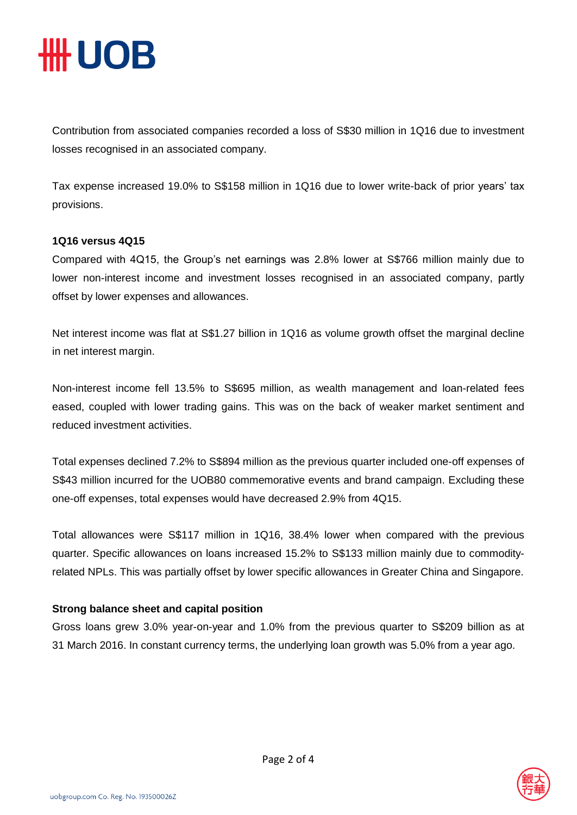## **IIII UOB**

Contribution from associated companies recorded a loss of S\$30 million in 1Q16 due to investment losses recognised in an associated company.

Tax expense increased 19.0% to S\$158 million in 1Q16 due to lower write-back of prior years' tax provisions.

#### **1Q16 versus 4Q15**

Compared with 4Q15, the Group's net earnings was 2.8% lower at S\$766 million mainly due to lower non-interest income and investment losses recognised in an associated company, partly offset by lower expenses and allowances.

Net interest income was flat at S\$1.27 billion in 1Q16 as volume growth offset the marginal decline in net interest margin.

Non-interest income fell 13.5% to S\$695 million, as wealth management and loan-related fees eased, coupled with lower trading gains. This was on the back of weaker market sentiment and reduced investment activities.

Total expenses declined 7.2% to S\$894 million as the previous quarter included one-off expenses of S\$43 million incurred for the UOB80 commemorative events and brand campaign. Excluding these one-off expenses, total expenses would have decreased 2.9% from 4Q15.

Total allowances were S\$117 million in 1Q16, 38.4% lower when compared with the previous quarter. Specific allowances on loans increased 15.2% to S\$133 million mainly due to commodityrelated NPLs. This was partially offset by lower specific allowances in Greater China and Singapore.

#### **Strong balance sheet and capital position**

Gross loans grew 3.0% year-on-year and 1.0% from the previous quarter to S\$209 billion as at 31 March 2016. In constant currency terms, the underlying loan growth was 5.0% from a year ago.

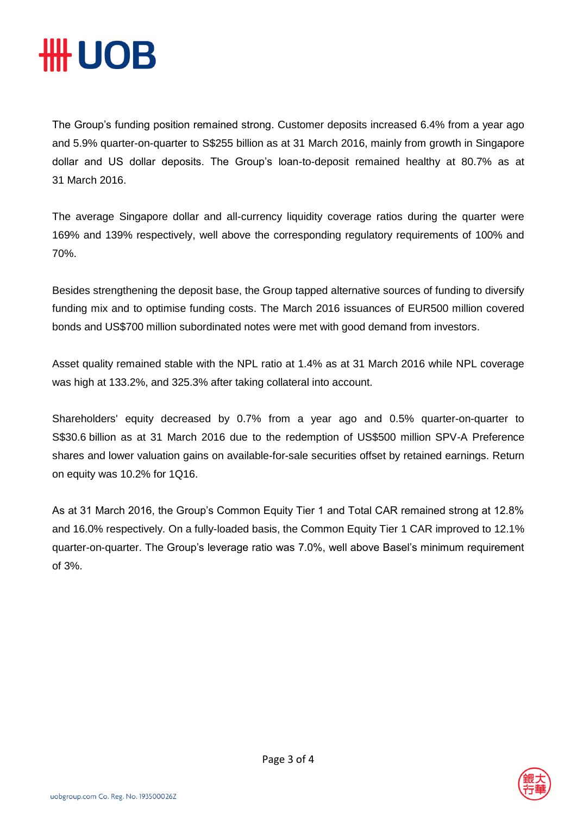# **#UOB**

The Group's funding position remained strong. Customer deposits increased 6.4% from a year ago and 5.9% quarter-on-quarter to S\$255 billion as at 31 March 2016, mainly from growth in Singapore dollar and US dollar deposits. The Group's loan-to-deposit remained healthy at 80.7% as at 31 March 2016.

The average Singapore dollar and all-currency liquidity coverage ratios during the quarter were 169% and 139% respectively, well above the corresponding regulatory requirements of 100% and 70%.

Besides strengthening the deposit base, the Group tapped alternative sources of funding to diversify funding mix and to optimise funding costs. The March 2016 issuances of EUR500 million covered bonds and US\$700 million subordinated notes were met with good demand from investors.

Asset quality remained stable with the NPL ratio at 1.4% as at 31 March 2016 while NPL coverage was high at 133.2%, and 325.3% after taking collateral into account.

Shareholders' equity decreased by 0.7% from a year ago and 0.5% quarter-on-quarter to S\$30.6 billion as at 31 March 2016 due to the redemption of US\$500 million SPV-A Preference shares and lower valuation gains on available-for-sale securities offset by retained earnings. Return on equity was 10.2% for 1Q16.

As at 31 March 2016, the Group's Common Equity Tier 1 and Total CAR remained strong at 12.8% and 16.0% respectively. On a fully-loaded basis, the Common Equity Tier 1 CAR improved to 12.1% quarter-on-quarter. The Group's leverage ratio was 7.0%, well above Basel's minimum requirement of 3%.